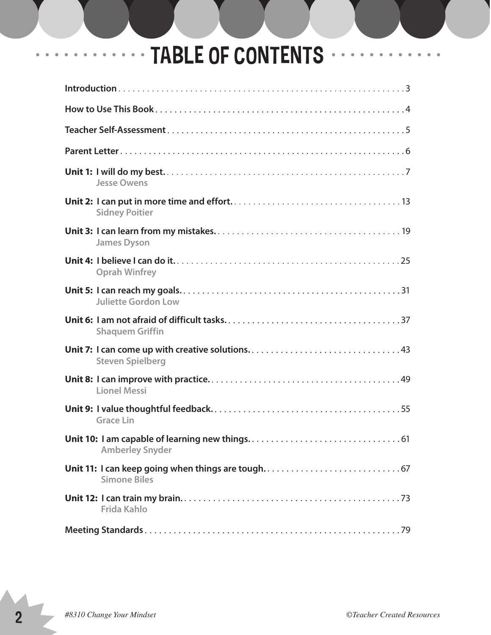# **WEET TABLE OF CONTENTS**

 $\bullet$ 

|  | <b>Jesse Owens</b>         |  |  |
|--|----------------------------|--|--|
|  | <b>Sidney Poitier</b>      |  |  |
|  | <b>James Dyson</b>         |  |  |
|  | <b>Oprah Winfrey</b>       |  |  |
|  | <b>Juliette Gordon Low</b> |  |  |
|  | <b>Shaquem Griffin</b>     |  |  |
|  | <b>Steven Spielberg</b>    |  |  |
|  | <b>Lionel Messi</b>        |  |  |
|  | <b>Grace Lin</b>           |  |  |
|  | <b>Amberley Snyder</b>     |  |  |
|  | <b>Simone Biles</b>        |  |  |
|  | Frida Kahlo                |  |  |
|  |                            |  |  |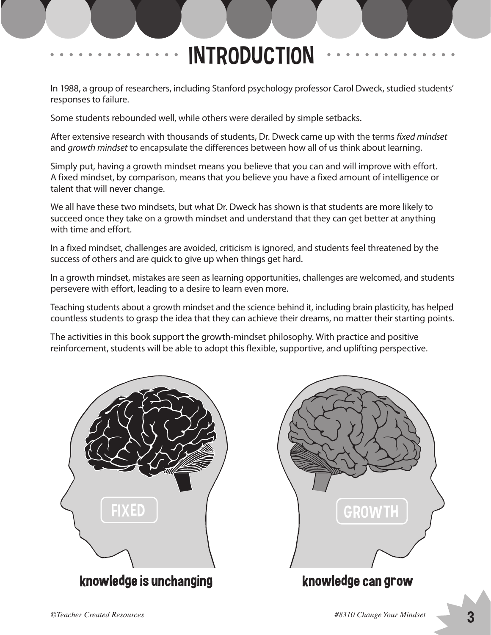# INTRODUCTION

In 1988, a group of researchers, including Stanford psychology professor Carol Dweck, studied students' responses to failure.

Some students rebounded well, while others were derailed by simple setbacks.

 $\begin{array}{ccccc}\bullet&\bullet&\bullet\end{array}$ 

After extensive research with thousands of students, Dr. Dweck came up with the terms *fixed mindset* and *growth mindset* to encapsulate the differences between how all of us think about learning.

Simply put, having a growth mindset means you believe that you can and will improve with effort. A fixed mindset, by comparison, means that you believe you have a fixed amount of intelligence or talent that will never change.

We all have these two mindsets, but what Dr. Dweck has shown is that students are more likely to succeed once they take on a growth mindset and understand that they can get better at anything with time and effort.

In a fixed mindset, challenges are avoided, criticism is ignored, and students feel threatened by the success of others and are quick to give up when things get hard.

In a growth mindset, mistakes are seen as learning opportunities, challenges are welcomed, and students persevere with effort, leading to a desire to learn even more.

Teaching students about a growth mindset and the science behind it, including brain plasticity, has helped countless students to grasp the idea that they can achieve their dreams, no matter their starting points.

The activities in this book support the growth-mindset philosophy. With practice and positive reinforcement, students will be able to adopt this flexible, supportive, and uplifting perspective.



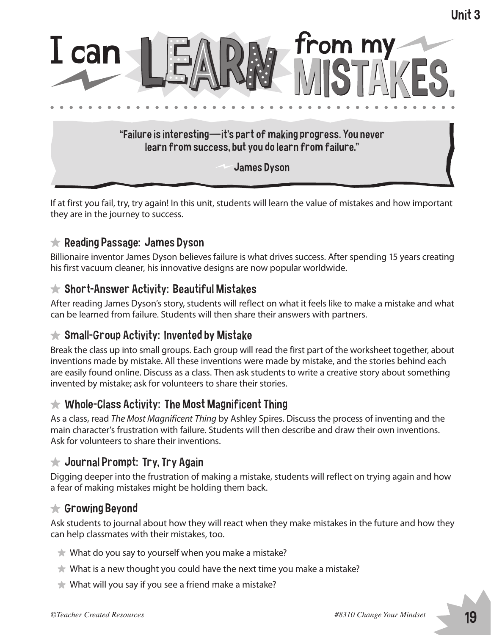

If at first you fail, try, try again! In this unit, students will learn the value of mistakes and how important they are in the journey to success.

#### $\star$  Reading Passage: James Dyson

Billionaire inventor James Dyson believes failure is what drives success. After spending 15 years creating his first vacuum cleaner, his innovative designs are now popular worldwide.

#### $\star$  Short-Answer Activity: Beautiful Mistakes

After reading James Dyson's story, students will reflect on what it feels like to make a mistake and what can be learned from failure. Students will then share their answers with partners.

#### $\star$  Small-Group Activity: Invented by Mistake

Break the class up into small groups. Each group will read the first part of the worksheet together, about inventions made by mistake. All these inventions were made by mistake, and the stories behind each are easily found online. Discuss as a class. Then ask students to write a creative story about something invented by mistake; ask for volunteers to share their stories.

### $\star$  Whole-Class Activity: The Most Magnificent Thing

As a class, read *The Most Magnificent Thing* by Ashley Spires. Discuss the process of inventing and the main character's frustration with failure. Students will then describe and draw their own inventions. Ask for volunteers to share their inventions.

#### $\star$  Journal Prompt: Try, Try Again

Digging deeper into the frustration of making a mistake, students will reflect on trying again and how a fear of making mistakes might be holding them back.

#### $\star$  Growing Beyond

Ask students to journal about how they will react when they make mistakes in the future and how they can help classmates with their mistakes, too.

- $\star$  What do you say to yourself when you make a mistake?
- $\star$  What is a new thought you could have the next time you make a mistake?
- $\star$  What will you say if you see a friend make a mistake?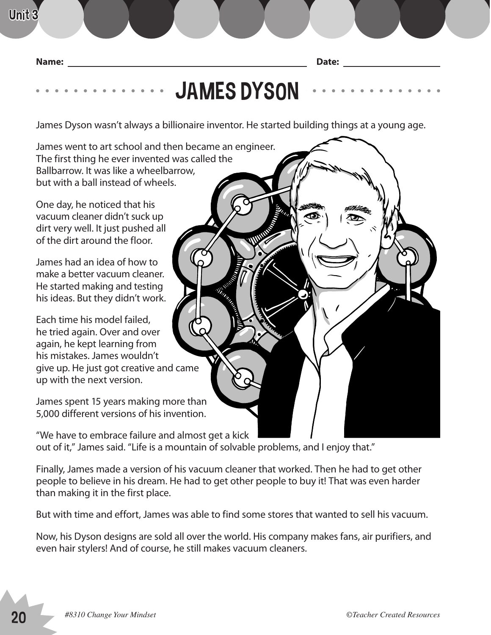

#### **Name: Date: Date: Date: Date: Date: Date: Date: Date: Date: Date: Date: Date: Date: Date: Date: Date: Date: Date: Date: Date: Date: Date: Date: Date: Date: Date: Date:**

### **WES DYSON**

James Dyson wasn't always a billionaire inventor. He started building things at a young age.

James went to art school and then became an engineer. The first thing he ever invented was called the Ballbarrow. It was like a wheelbarrow, but with a ball instead of wheels.

One day, he noticed that his vacuum cleaner didn't suck up dirt very well. It just pushed all of the dirt around the floor.

James had an idea of how to make a better vacuum cleaner. He started making and testing his ideas. But they didn't work.

Each time his model failed, he tried again. Over and over again, he kept learning from his mistakes. James wouldn't give up. He just got creative and came up with the next version.

James spent 15 years making more than 5,000 different versions of his invention.

"We have to embrace failure and almost get a kick out of it," James said. "Life is a mountain of solvable problems, and I enjoy that."

Finally, James made a version of his vacuum cleaner that worked. Then he had to get other people to believe in his dream. He had to get other people to buy it! That was even harder than making it in the first place.

But with time and effort, James was able to find some stores that wanted to sell his vacuum.

Now, his Dyson designs are sold all over the world. His company makes fans, air purifiers, and even hair stylers! And of course, he still makes vacuum cleaners.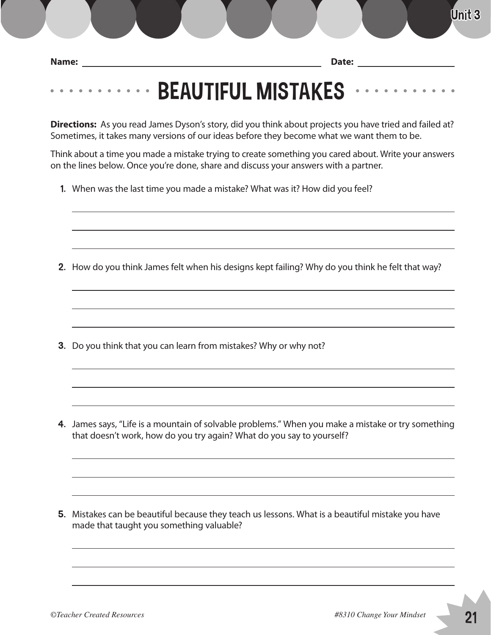## **SEAUTIFUL MISTAKES**

**Directions:** As you read James Dyson's story, did you think about projects you have tried and failed at? Sometimes, it takes many versions of our ideas before they become what we want them to be.

Think about a time you made a mistake trying to create something you cared about. Write your answers on the lines below. Once you're done, share and discuss your answers with a partner.

1. When was the last time you made a mistake? What was it? How did you feel?

2. How do you think James felt when his designs kept failing? Why do you think he felt that way?

3. Do you think that you can learn from mistakes? Why or why not?

4. James says, "Life is a mountain of solvable problems." When you make a mistake or try something that doesn't work, how do you try again? What do you say to yourself?

5. Mistakes can be beautiful because they teach us lessons. What is a beautiful mistake you have made that taught you something valuable?

Unit 3